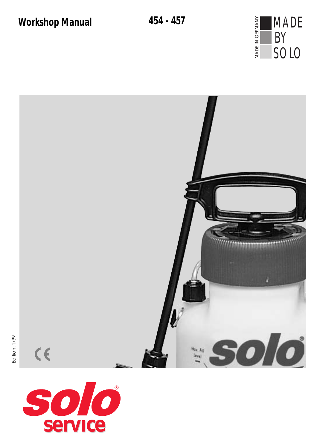



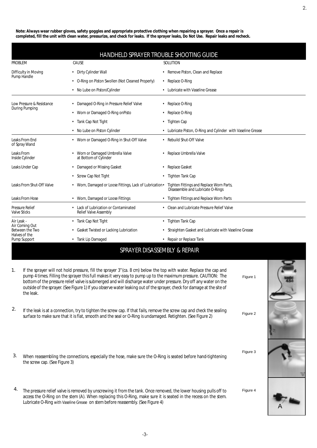**Note: Always wear rubber gloves, safety goggles and appropriate protective clothing when repairing a sprayer. Once a repair is completed, fill the unit with clean water, pressurize, and check for leaks. If the sprayer leaks,** *Do Not Use***. Repair leaks and recheck.**

| HANDHELD SPRAYER TROUBLE SHOOTING GUIDE                                          |                                                                     |                                                                               |
|----------------------------------------------------------------------------------|---------------------------------------------------------------------|-------------------------------------------------------------------------------|
| <b>PROBLEM</b>                                                                   | CAUSE                                                               | SOLUTION                                                                      |
| Difficulty in Moving<br>Pump Handle                                              | Dirty Cylinder Wall                                                 | • Remove Piston, Clean and Replace                                            |
|                                                                                  | • O-Ring on Piston Swollen (Not Cleaned Properly)                   | • Replace O-Ring                                                              |
|                                                                                  | No Lube on Piston/Cylinder                                          | • Lubricate with Vaseline Grease                                              |
| Low Pressure & Resistance<br>During Pumping                                      | Damaged O-Ring in Pressure Relief Valve                             | • Replace O-Ring                                                              |
|                                                                                  | Worn or Damaged O-Ring onPisto                                      | • Replace O-Ring                                                              |
|                                                                                  | Tank Cap Not Tight<br>٠                                             | • Tighten Cap                                                                 |
|                                                                                  | No Lube on Piston Cylinder                                          | • Lubricate Piston, O-Ring and Cylinder with Vaseline Grease                  |
| Leaks From End<br>of Spray Wand                                                  | • Worn or Damaged O-Ring in Shut-Off Valve                          | • Rebuild Shut-Off Valve                                                      |
| Leaks From<br>Inside Cylinder                                                    | Worn or Damaged Umbrella Valve<br>at Bottom of Cylinder             | • Replace Umbrella Valve                                                      |
| Leaks Under Cap                                                                  | Damaged or Missing Gasket                                           | • Replace Gasket                                                              |
|                                                                                  | Screw Cap Not Tight<br>$\bullet$                                    | • Tighten Tank Cap                                                            |
| Leaks From Shut-Off Valve                                                        | • Worn, Damaged or Loose Fittings, Lack of Lubrication •            | Tighten Fittings and Replace Worn Parts,<br>Disassemble and Lubricate O-Rings |
| Leaks From Hose                                                                  | • Worn, Damaged or Loose Fittings                                   | Tighten Fittings and Replace Worn Parts<br>$\bullet$                          |
| <b>Pressure Relief</b><br><b>Valve Sticks</b>                                    | Lack of Lubrication or Contaminated<br><b>Relief Valve Assembly</b> | • Clean and Lubricate Pressure Relief Valve                                   |
| Air Leak -<br>Air Coming Out<br>Between the Two<br>Halves of the<br>Pump Support | • Tank Cap Not Tight                                                | • Tighten Tank Cap                                                            |
|                                                                                  | Gasket Twisted or Lacking Lubrication<br>$\bullet$                  | • Straighten Gasket and Lubricate with Vaseline Grease                        |
|                                                                                  | Tank Lip Damaged<br>٠                                               | • Repair or Replace Tank                                                      |

## SPRAYER DISASSEMBLY & REPAIR

- 1. If the sprayer will not hold pressure, fill the sprayer 3"(ca. 8 cm) below the top with water. Replace the cap and pump 4 times. Filling the sprayer this full makes it very easy to pump up to the maximum pressure. CAUTION: The bottom of the pressure relief valve is submerged and will discharge water under pressure. Dry off any water on the outside of the sprayer. (See Figure 1) If you observe water leaking out of the sprayer, check for damage at the site of the leak.
- If the leak is at a connection, try to tighten the screw cap. If that fails, remove the screw cap and check the sealing surface to make sure that it is flat, smooth and the seal or O-Ring is undamaged. Retighten. (See Figure 2) 2.
- When reassembling the connections, especially the hose, make sure the O-Ring is seated before hand-tightening the screw cap. (See Figure 3) 3.
- The pressure relief valve is removed by unscrewing it from the tank. Once removed, the lower housing pulls off to access the O-Ring on the stem (A). When replacing this O-Ring, make sure it is seated in the recess on the stem. Lubricate O-Ring with Vaseline Grease on stem before reassembly. (See Figure 4) 4.



Figure 2

Figure 1

Figure 3

Figure 4